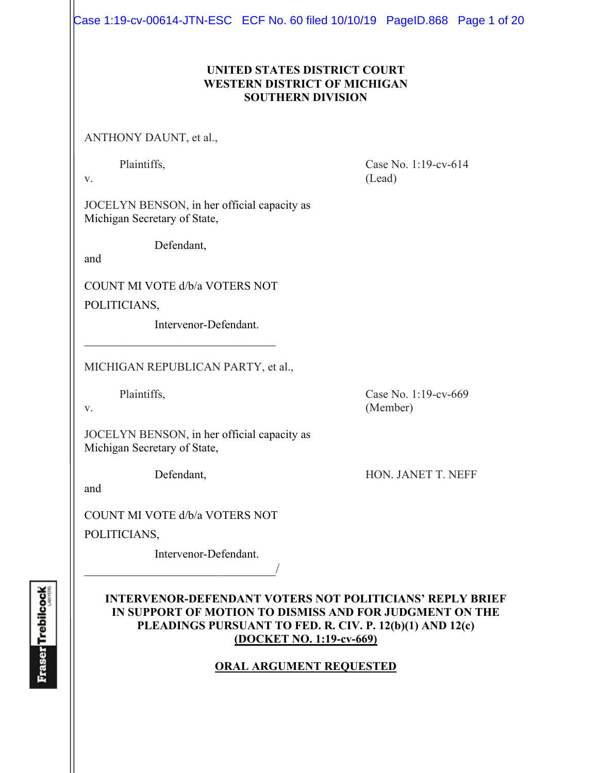Case 1:19-cv-00614-JTN-ESC ECF No. 60 filed 10/10/19 PageID.868 Page 1 of 20

#### **UNITED STATES DISTRICT COURT WESTERN DISTRICT OF MICHIGAN SOUTHERN DIVISION**

ANTHONY DAUNT, et al.,

Plaintiffs, Case No. 1:19-cv-614 v. (Lead)

JOCELYN BENSON, in her official capacity as Michigan Secretary of State,

Defendant,

and

COUNT MI VOTE d/b/a VOTERS NOT

 $\mathcal{L}_\text{max}$  , where  $\mathcal{L}_\text{max}$  , we have the set of  $\mathcal{L}_\text{max}$ 

POLITICIANS,

Intervenor-Defendant.

MICHIGAN REPUBLICAN PARTY, et al.,

Plaintiffs, Case No. 1:19-cv-669

v. (Member)

JOCELYN BENSON, in her official capacity as Michigan Secretary of State,

Defendant, HON. JANET T. NEFF

and

COUNT MI VOTE d/b/a VOTERS NOT

 $\overline{\phantom{a}}$ 

POLITICIANS,

Intervenor-Defendant.

### **INTERVENOR-DEFENDANT VOTERS NOT POLITICIANS' REPLY BRIEF IN SUPPORT OF MOTION TO DISMISS AND FOR JUDGMENT ON THE PLEADINGS PURSUANT TO FED. R. CIV. P. 12(b)(1) AND 12(c) (DOCKET NO. 1:19-cv-669)**

## **ORAL ARGUMENT REQUESTED**

**Fraser** Trebilcock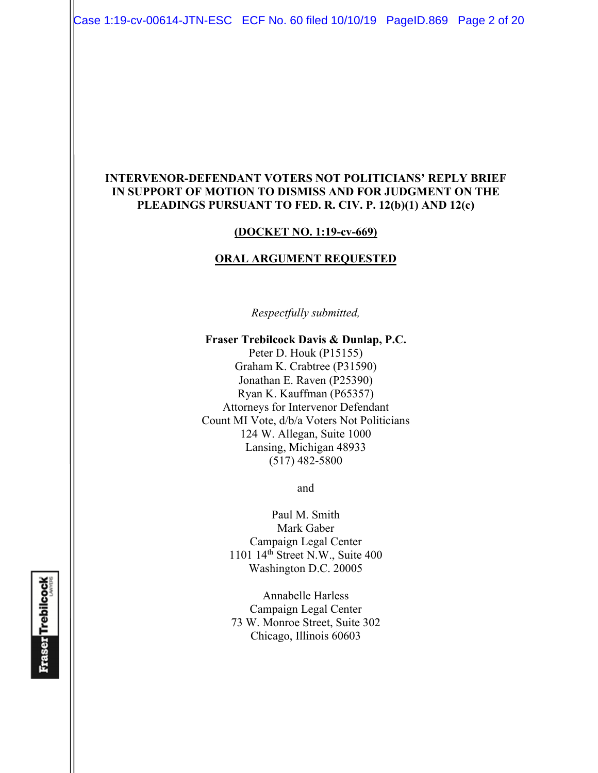Case 1:19-cv-00614-JTN-ESC ECF No. 60 filed 10/10/19 PageID.869 Page 2 of 20

#### **INTERVENOR-DEFENDANT VOTERS NOT POLITICIANS' REPLY BRIEF IN SUPPORT OF MOTION TO DISMISS AND FOR JUDGMENT ON THE PLEADINGS PURSUANT TO FED. R. CIV. P. 12(b)(1) AND 12(c)**

#### **(DOCKET NO. 1:19-cv-669)**

#### **ORAL ARGUMENT REQUESTED**

*Respectfully submitted,* 

#### **Fraser Trebilcock Davis & Dunlap, P.C.**

Peter D. Houk (P15155) Graham K. Crabtree (P31590) Jonathan E. Raven (P25390) Ryan K. Kauffman (P65357) Attorneys for Intervenor Defendant Count MI Vote, d/b/a Voters Not Politicians 124 W. Allegan, Suite 1000 Lansing, Michigan 48933 (517) 482-5800

and

Paul M. Smith Mark Gaber Campaign Legal Center 1101 14th Street N.W., Suite 400 Washington D.C. 20005

Annabelle Harless Campaign Legal Center 73 W. Monroe Street, Suite 302 Chicago, Illinois 60603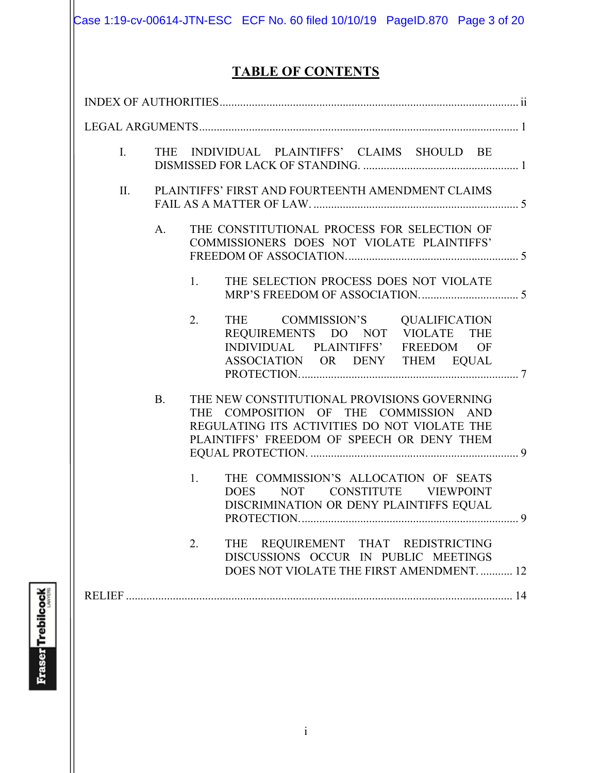Case 1:19-cv-00614-JTN-ESC ECF No. 60 filed 10/10/19 PageID.870 Page 3 of 20

# **TABLE OF CONTENTS**

| THE INDIVIDUAL PLAINTIFFS' CLAIMS SHOULD BE<br>I.                                                                                                                                               |  |
|-------------------------------------------------------------------------------------------------------------------------------------------------------------------------------------------------|--|
| PLAINTIFFS' FIRST AND FOURTEENTH AMENDMENT CLAIMS<br>П.                                                                                                                                         |  |
| THE CONSTITUTIONAL PROCESS FOR SELECTION OF<br>A.<br>COMMISSIONERS DOES NOT VIOLATE PLAINTIFFS'                                                                                                 |  |
| THE SELECTION PROCESS DOES NOT VIOLATE<br>1.                                                                                                                                                    |  |
| 2.<br>THE COMMISSION'S QUALIFICATION<br>REQUIREMENTS DO NOT VIOLATE THE<br>INDIVIDUAL PLAINTIFFS' FREEDOM OF<br>ASSOCIATION OR DENY THEM EQUAL                                                  |  |
| THE NEW CONSTITUTIONAL PROVISIONS GOVERNING<br><b>B.</b><br>THE COMPOSITION OF THE COMMISSION AND<br>REGULATING ITS ACTIVITIES DO NOT VIOLATE THE<br>PLAINTIFFS' FREEDOM OF SPEECH OR DENY THEM |  |
| THE COMMISSION'S ALLOCATION OF SEATS<br>1.<br>NOT CONSTITUTE VIEWPOINT<br><b>DOES</b><br>DISCRIMINATION OR DENY PLAINTIFFS EQUAL                                                                |  |
| THE REQUIREMENT THAT REDISTRICTING<br>2.<br>DISCUSSIONS OCCUR IN PUBLIC MEETINGS<br>DOES NOT VIOLATE THE FIRST AMENDMENT 12                                                                     |  |
|                                                                                                                                                                                                 |  |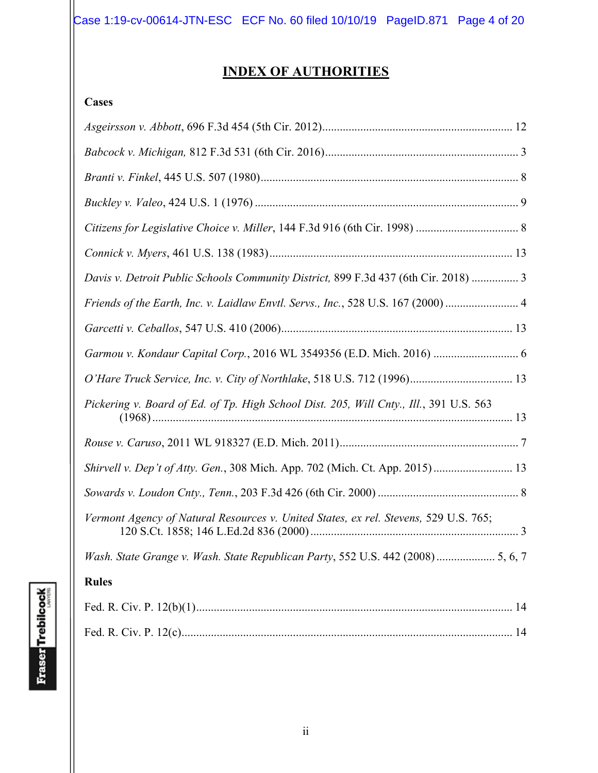# **INDEX OF AUTHORITIES**

## **Cases**

| Davis v. Detroit Public Schools Community District, 899 F.3d 437 (6th Cir. 2018)  3    |
|----------------------------------------------------------------------------------------|
| Friends of the Earth, Inc. v. Laidlaw Envtl. Servs., Inc., 528 U.S. 167 (2000)  4      |
|                                                                                        |
| Garmou v. Kondaur Capital Corp., 2016 WL 3549356 (E.D. Mich. 2016)  6                  |
|                                                                                        |
| Pickering v. Board of Ed. of Tp. High School Dist. 205, Will Cnty., Ill., 391 U.S. 563 |
|                                                                                        |
| Shirvell v. Dep't of Atty. Gen., 308 Mich. App. 702 (Mich. Ct. App. 2015) 13           |
|                                                                                        |
| Vermont Agency of Natural Resources v. United States, ex rel. Stevens, 529 U.S. 765;   |
| Wash. State Grange v. Wash. State Republican Party, 552 U.S. 442 (2008)  5, 6, 7       |
| <b>Rules</b>                                                                           |
|                                                                                        |
|                                                                                        |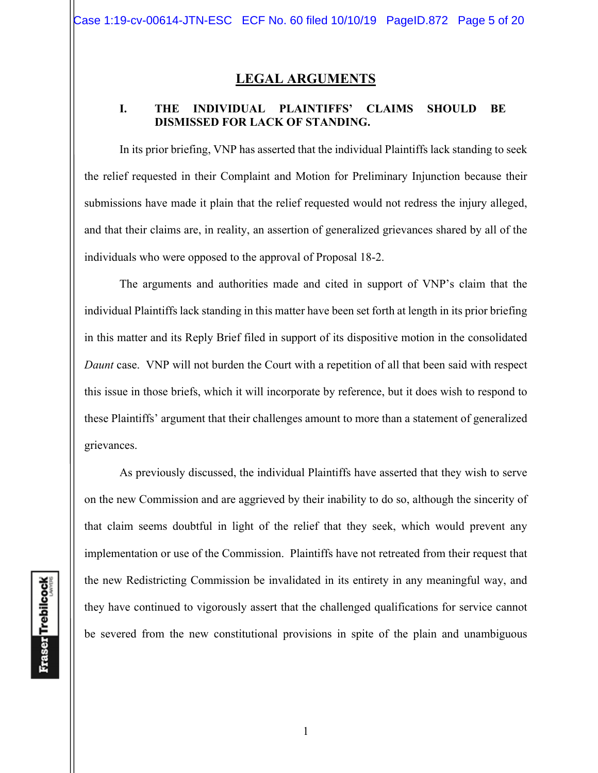## **LEGAL ARGUMENTS**

#### **I. THE INDIVIDUAL PLAINTIFFS' CLAIMS SHOULD BE DISMISSED FOR LACK OF STANDING.**

In its prior briefing, VNP has asserted that the individual Plaintiffs lack standing to seek the relief requested in their Complaint and Motion for Preliminary Injunction because their submissions have made it plain that the relief requested would not redress the injury alleged, and that their claims are, in reality, an assertion of generalized grievances shared by all of the individuals who were opposed to the approval of Proposal 18-2.

The arguments and authorities made and cited in support of VNP's claim that the individual Plaintiffs lack standing in this matter have been set forth at length in its prior briefing in this matter and its Reply Brief filed in support of its dispositive motion in the consolidated *Daunt* case. VNP will not burden the Court with a repetition of all that been said with respect this issue in those briefs, which it will incorporate by reference, but it does wish to respond to these Plaintiffs' argument that their challenges amount to more than a statement of generalized grievances.

As previously discussed, the individual Plaintiffs have asserted that they wish to serve on the new Commission and are aggrieved by their inability to do so, although the sincerity of that claim seems doubtful in light of the relief that they seek, which would prevent any implementation or use of the Commission. Plaintiffs have not retreated from their request that the new Redistricting Commission be invalidated in its entirety in any meaningful way, and they have continued to vigorously assert that the challenged qualifications for service cannot be severed from the new constitutional provisions in spite of the plain and unambiguous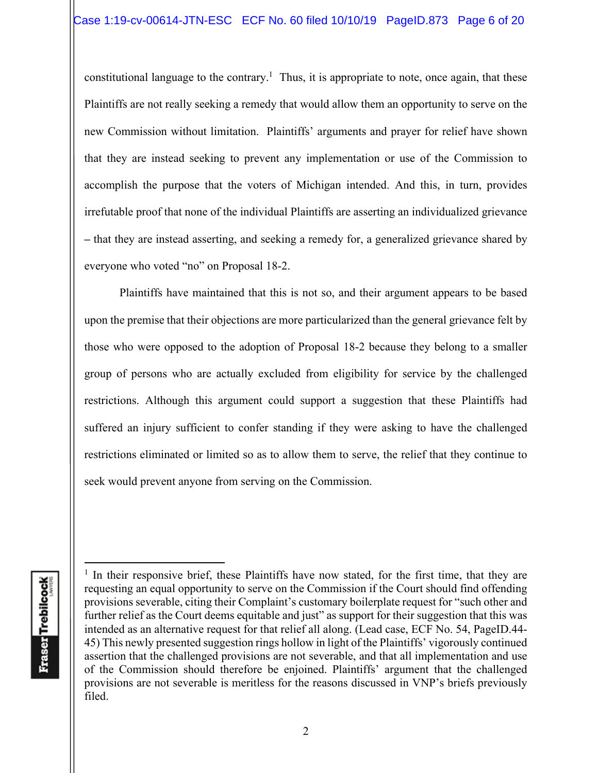constitutional language to the contrary.<sup>1</sup> Thus, it is appropriate to note, once again, that these Plaintiffs are not really seeking a remedy that would allow them an opportunity to serve on the new Commission without limitation. Plaintiffs' arguments and prayer for relief have shown that they are instead seeking to prevent any implementation or use of the Commission to accomplish the purpose that the voters of Michigan intended. And this, in turn, provides irrefutable proof that none of the individual Plaintiffs are asserting an individualized grievance **–** that they are instead asserting, and seeking a remedy for, a generalized grievance shared by everyone who voted "no" on Proposal 18-2.

Plaintiffs have maintained that this is not so, and their argument appears to be based upon the premise that their objections are more particularized than the general grievance felt by those who were opposed to the adoption of Proposal 18-2 because they belong to a smaller group of persons who are actually excluded from eligibility for service by the challenged restrictions. Although this argument could support a suggestion that these Plaintiffs had suffered an injury sufficient to confer standing if they were asking to have the challenged restrictions eliminated or limited so as to allow them to serve, the relief that they continue to seek would prevent anyone from serving on the Commission.

<sup>&</sup>lt;sup>1</sup> In their responsive brief, these Plaintiffs have now stated, for the first time, that they are requesting an equal opportunity to serve on the Commission if the Court should find offending provisions severable, citing their Complaint's customary boilerplate request for "such other and further relief as the Court deems equitable and just" as support for their suggestion that this was intended as an alternative request for that relief all along. (Lead case, ECF No. 54, PageID.44- 45) This newly presented suggestion rings hollow in light of the Plaintiffs' vigorously continued assertion that the challenged provisions are not severable, and that all implementation and use of the Commission should therefore be enjoined. Plaintiffs' argument that the challenged provisions are not severable is meritless for the reasons discussed in VNP's briefs previously filed.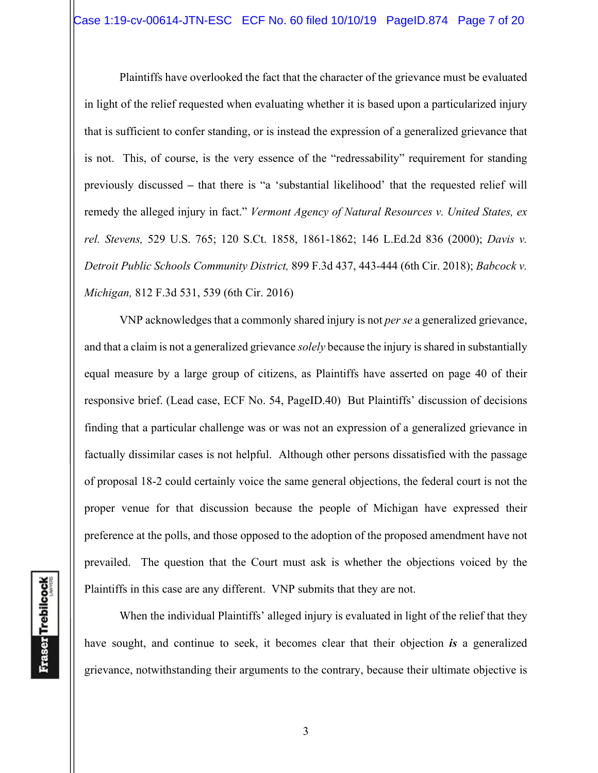Plaintiffs have overlooked the fact that the character of the grievance must be evaluated in light of the relief requested when evaluating whether it is based upon a particularized injury that is sufficient to confer standing, or is instead the expression of a generalized grievance that is not. This, of course, is the very essence of the "redressability" requirement for standing previously discussed **–** that there is "a 'substantial likelihood' that the requested relief will remedy the alleged injury in fact." *Vermont Agency of Natural Resources v. United States, ex rel. Stevens,* 529 U.S. 765; 120 S.Ct. 1858, 1861-1862; 146 L.Ed.2d 836 (2000); *Davis v. Detroit Public Schools Community District,* 899 F.3d 437, 443-444 (6th Cir. 2018); *Babcock v. Michigan,* 812 F.3d 531, 539 (6th Cir. 2016)

VNP acknowledges that a commonly shared injury is not *per se* a generalized grievance, and that a claim is not a generalized grievance *solely* because the injury is shared in substantially equal measure by a large group of citizens, as Plaintiffs have asserted on page 40 of their responsive brief. (Lead case, ECF No. 54, PageID.40) But Plaintiffs' discussion of decisions finding that a particular challenge was or was not an expression of a generalized grievance in factually dissimilar cases is not helpful. Although other persons dissatisfied with the passage of proposal 18-2 could certainly voice the same general objections, the federal court is not the proper venue for that discussion because the people of Michigan have expressed their preference at the polls, and those opposed to the adoption of the proposed amendment have not prevailed. The question that the Court must ask is whether the objections voiced by the Plaintiffs in this case are any different. VNP submits that they are not.

When the individual Plaintiffs' alleged injury is evaluated in light of the relief that they have sought, and continue to seek, it becomes clear that their objection *is* a generalized grievance, notwithstanding their arguments to the contrary, because their ultimate objective is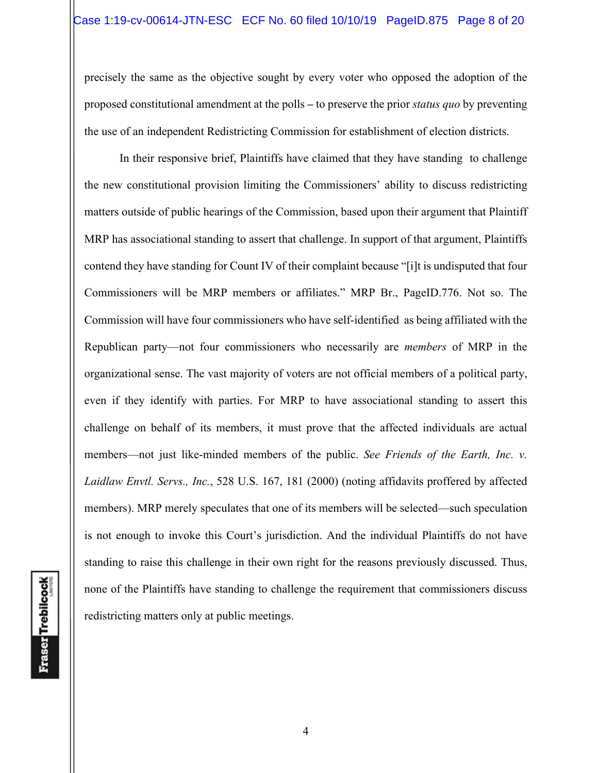precisely the same as the objective sought by every voter who opposed the adoption of the proposed constitutional amendment at the polls **–** to preserve the prior *status quo* by preventing the use of an independent Redistricting Commission for establishment of election districts.

In their responsive brief, Plaintiffs have claimed that they have standing to challenge the new constitutional provision limiting the Commissioners' ability to discuss redistricting matters outside of public hearings of the Commission, based upon their argument that Plaintiff MRP has associational standing to assert that challenge. In support of that argument, Plaintiffs contend they have standing for Count IV of their complaint because "[i]t is undisputed that four Commissioners will be MRP members or affiliates." MRP Br., PageID.776. Not so. The Commission will have four commissioners who have self-identified as being affiliated with the Republican party—not four commissioners who necessarily are *members* of MRP in the organizational sense. The vast majority of voters are not official members of a political party, even if they identify with parties. For MRP to have associational standing to assert this challenge on behalf of its members, it must prove that the affected individuals are actual members—not just like-minded members of the public. *See Friends of the Earth, Inc. v. Laidlaw Envtl. Servs., Inc.*, 528 U.S. 167, 181 (2000) (noting affidavits proffered by affected members). MRP merely speculates that one of its members will be selected—such speculation is not enough to invoke this Court's jurisdiction. And the individual Plaintiffs do not have standing to raise this challenge in their own right for the reasons previously discussed. Thus, none of the Plaintiffs have standing to challenge the requirement that commissioners discuss redistricting matters only at public meetings.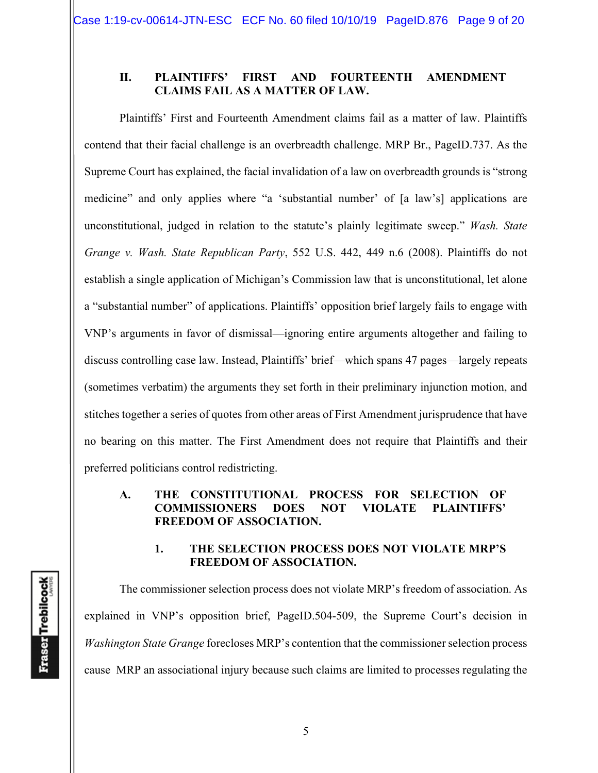#### **II. PLAINTIFFS' FIRST AND FOURTEENTH AMENDMENT CLAIMS FAIL AS A MATTER OF LAW.**

Plaintiffs' First and Fourteenth Amendment claims fail as a matter of law. Plaintiffs contend that their facial challenge is an overbreadth challenge. MRP Br., PageID.737. As the Supreme Court has explained, the facial invalidation of a law on overbreadth grounds is "strong medicine" and only applies where "a 'substantial number' of [a law's] applications are unconstitutional, judged in relation to the statute's plainly legitimate sweep." *Wash. State Grange v. Wash. State Republican Party*, 552 U.S. 442, 449 n.6 (2008). Plaintiffs do not establish a single application of Michigan's Commission law that is unconstitutional, let alone a "substantial number" of applications. Plaintiffs' opposition brief largely fails to engage with VNP's arguments in favor of dismissal—ignoring entire arguments altogether and failing to discuss controlling case law. Instead, Plaintiffs' brief—which spans 47 pages—largely repeats (sometimes verbatim) the arguments they set forth in their preliminary injunction motion, and stitches together a series of quotes from other areas of First Amendment jurisprudence that have no bearing on this matter. The First Amendment does not require that Plaintiffs and their preferred politicians control redistricting.

#### **A. THE CONSTITUTIONAL PROCESS FOR SELECTION OF COMMISSIONERS DOES NOT VIOLATE PLAINTIFFS' FREEDOM OF ASSOCIATION.**

#### **1. THE SELECTION PROCESS DOES NOT VIOLATE MRP'S FREEDOM OF ASSOCIATION.**

 The commissioner selection process does not violate MRP's freedom of association. As explained in VNP's opposition brief, PageID.504-509, the Supreme Court's decision in *Washington State Grange* forecloses MRP's contention that the commissioner selection process cause MRP an associational injury because such claims are limited to processes regulating the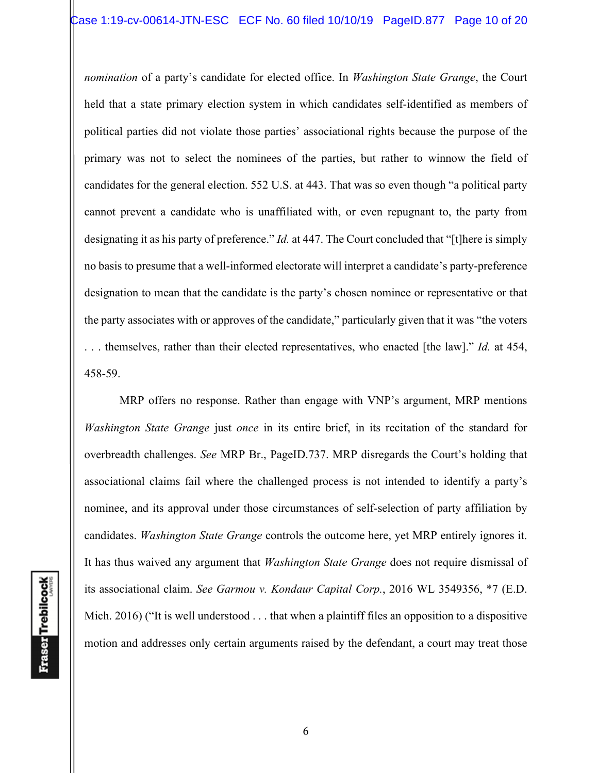*nomination* of a party's candidate for elected office. In *Washington State Grange*, the Court held that a state primary election system in which candidates self-identified as members of political parties did not violate those parties' associational rights because the purpose of the primary was not to select the nominees of the parties, but rather to winnow the field of candidates for the general election. 552 U.S. at 443. That was so even though "a political party cannot prevent a candidate who is unaffiliated with, or even repugnant to, the party from designating it as his party of preference." *Id.* at 447. The Court concluded that "[t]here is simply no basis to presume that a well-informed electorate will interpret a candidate's party-preference designation to mean that the candidate is the party's chosen nominee or representative or that the party associates with or approves of the candidate," particularly given that it was "the voters . . . themselves, rather than their elected representatives, who enacted [the law]." *Id.* at 454, 458-59.

 MRP offers no response. Rather than engage with VNP's argument, MRP mentions *Washington State Grange* just *once* in its entire brief, in its recitation of the standard for overbreadth challenges. *See* MRP Br., PageID.737. MRP disregards the Court's holding that associational claims fail where the challenged process is not intended to identify a party's nominee, and its approval under those circumstances of self-selection of party affiliation by candidates. *Washington State Grange* controls the outcome here, yet MRP entirely ignores it. It has thus waived any argument that *Washington State Grange* does not require dismissal of its associational claim. *See Garmou v. Kondaur Capital Corp.*, 2016 WL 3549356, \*7 (E.D. Mich. 2016) ("It is well understood . . . that when a plaintiff files an opposition to a dispositive motion and addresses only certain arguments raised by the defendant, a court may treat those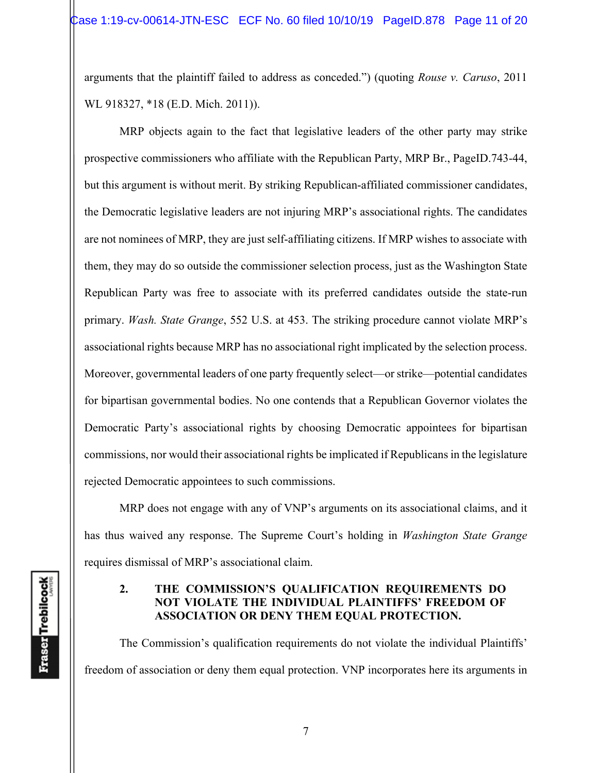arguments that the plaintiff failed to address as conceded.") (quoting *Rouse v. Caruso*, 2011 WL 918327, \*18 (E.D. Mich. 2011)).

 MRP objects again to the fact that legislative leaders of the other party may strike prospective commissioners who affiliate with the Republican Party, MRP Br., PageID.743-44, but this argument is without merit. By striking Republican-affiliated commissioner candidates, the Democratic legislative leaders are not injuring MRP's associational rights. The candidates are not nominees of MRP, they are just self-affiliating citizens. If MRP wishes to associate with them, they may do so outside the commissioner selection process, just as the Washington State Republican Party was free to associate with its preferred candidates outside the state-run primary. *Wash. State Grange*, 552 U.S. at 453. The striking procedure cannot violate MRP's associational rights because MRP has no associational right implicated by the selection process. Moreover, governmental leaders of one party frequently select—or strike—potential candidates for bipartisan governmental bodies. No one contends that a Republican Governor violates the Democratic Party's associational rights by choosing Democratic appointees for bipartisan commissions, nor would their associational rights be implicated if Republicans in the legislature rejected Democratic appointees to such commissions.

 MRP does not engage with any of VNP's arguments on its associational claims, and it has thus waived any response. The Supreme Court's holding in *Washington State Grange* requires dismissal of MRP's associational claim.

#### **2. THE COMMISSION'S QUALIFICATION REQUIREMENTS DO NOT VIOLATE THE INDIVIDUAL PLAINTIFFS' FREEDOM OF ASSOCIATION OR DENY THEM EQUAL PROTECTION.**

The Commission's qualification requirements do not violate the individual Plaintiffs' freedom of association or deny them equal protection. VNP incorporates here its arguments in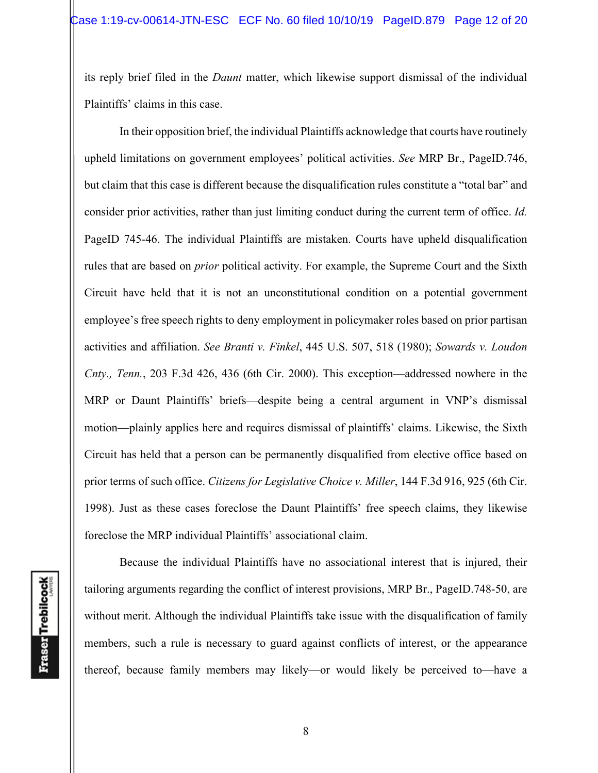its reply brief filed in the *Daunt* matter, which likewise support dismissal of the individual Plaintiffs' claims in this case.

In their opposition brief, the individual Plaintiffs acknowledge that courts have routinely upheld limitations on government employees' political activities. *See* MRP Br., PageID.746, but claim that this case is different because the disqualification rules constitute a "total bar" and consider prior activities, rather than just limiting conduct during the current term of office. *Id.* PageID 745-46. The individual Plaintiffs are mistaken. Courts have upheld disqualification rules that are based on *prior* political activity. For example, the Supreme Court and the Sixth Circuit have held that it is not an unconstitutional condition on a potential government employee's free speech rights to deny employment in policymaker roles based on prior partisan activities and affiliation. *See Branti v. Finkel*, 445 U.S. 507, 518 (1980); *Sowards v. Loudon Cnty., Tenn.*, 203 F.3d 426, 436 (6th Cir. 2000). This exception—addressed nowhere in the MRP or Daunt Plaintiffs' briefs—despite being a central argument in VNP's dismissal motion—plainly applies here and requires dismissal of plaintiffs' claims. Likewise, the Sixth Circuit has held that a person can be permanently disqualified from elective office based on prior terms of such office. *Citizens for Legislative Choice v. Miller*, 144 F.3d 916, 925 (6th Cir. 1998). Just as these cases foreclose the Daunt Plaintiffs' free speech claims, they likewise foreclose the MRP individual Plaintiffs' associational claim.

**Fraser** Trebilcock

Because the individual Plaintiffs have no associational interest that is injured, their tailoring arguments regarding the conflict of interest provisions, MRP Br., PageID.748-50, are without merit. Although the individual Plaintiffs take issue with the disqualification of family members, such a rule is necessary to guard against conflicts of interest, or the appearance thereof, because family members may likely—or would likely be perceived to—have a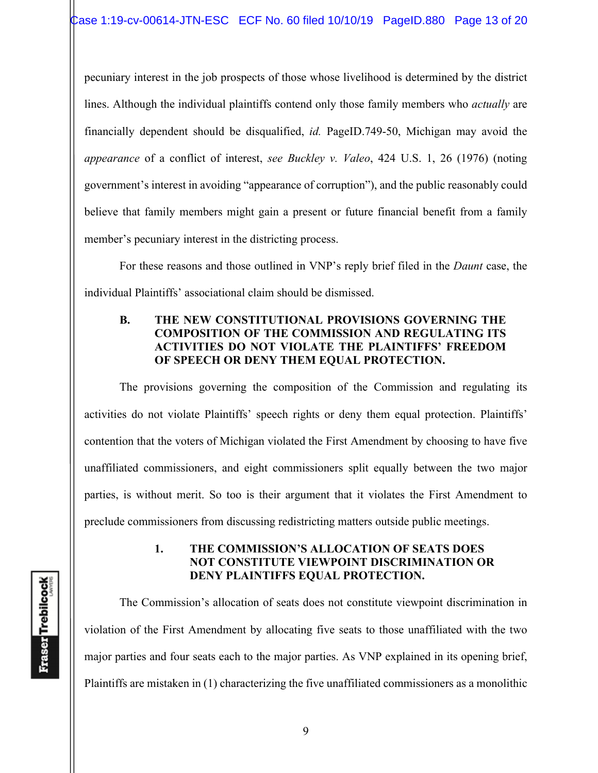pecuniary interest in the job prospects of those whose livelihood is determined by the district lines. Although the individual plaintiffs contend only those family members who *actually* are financially dependent should be disqualified, *id.* PageID.749-50, Michigan may avoid the *appearance* of a conflict of interest, *see Buckley v. Valeo*, 424 U.S. 1, 26 (1976) (noting government's interest in avoiding "appearance of corruption"), and the public reasonably could believe that family members might gain a present or future financial benefit from a family member's pecuniary interest in the districting process.

For these reasons and those outlined in VNP's reply brief filed in the *Daunt* case, the individual Plaintiffs' associational claim should be dismissed.

### **B. THE NEW CONSTITUTIONAL PROVISIONS GOVERNING THE COMPOSITION OF THE COMMISSION AND REGULATING ITS ACTIVITIES DO NOT VIOLATE THE PLAINTIFFS' FREEDOM OF SPEECH OR DENY THEM EQUAL PROTECTION.**

The provisions governing the composition of the Commission and regulating its activities do not violate Plaintiffs' speech rights or deny them equal protection. Plaintiffs' contention that the voters of Michigan violated the First Amendment by choosing to have five unaffiliated commissioners, and eight commissioners split equally between the two major parties, is without merit. So too is their argument that it violates the First Amendment to preclude commissioners from discussing redistricting matters outside public meetings.

#### **1. THE COMMISSION'S ALLOCATION OF SEATS DOES NOT CONSTITUTE VIEWPOINT DISCRIMINATION OR DENY PLAINTIFFS EQUAL PROTECTION.**

The Commission's allocation of seats does not constitute viewpoint discrimination in violation of the First Amendment by allocating five seats to those unaffiliated with the two major parties and four seats each to the major parties. As VNP explained in its opening brief, Plaintiffs are mistaken in (1) characterizing the five unaffiliated commissioners as a monolithic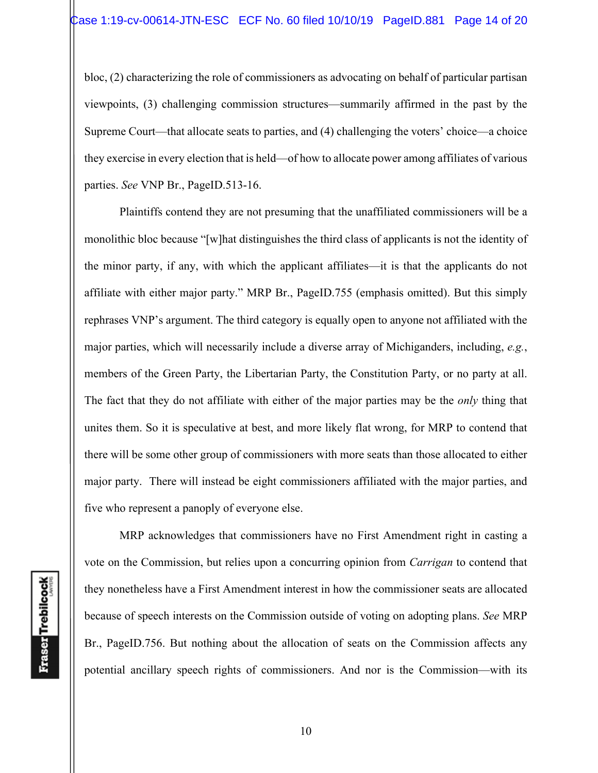bloc, (2) characterizing the role of commissioners as advocating on behalf of particular partisan viewpoints, (3) challenging commission structures—summarily affirmed in the past by the Supreme Court—that allocate seats to parties, and (4) challenging the voters' choice—a choice they exercise in every election that is held—of how to allocate power among affiliates of various parties. *See* VNP Br., PageID.513-16.

Plaintiffs contend they are not presuming that the unaffiliated commissioners will be a monolithic bloc because "[w]hat distinguishes the third class of applicants is not the identity of the minor party, if any, with which the applicant affiliates—it is that the applicants do not affiliate with either major party." MRP Br., PageID.755 (emphasis omitted). But this simply rephrases VNP's argument. The third category is equally open to anyone not affiliated with the major parties, which will necessarily include a diverse array of Michiganders, including, *e.g.*, members of the Green Party, the Libertarian Party, the Constitution Party, or no party at all. The fact that they do not affiliate with either of the major parties may be the *only* thing that unites them. So it is speculative at best, and more likely flat wrong, for MRP to contend that there will be some other group of commissioners with more seats than those allocated to either major party. There will instead be eight commissioners affiliated with the major parties, and five who represent a panoply of everyone else.

**Fraser Trebilcock** 

MRP acknowledges that commissioners have no First Amendment right in casting a vote on the Commission, but relies upon a concurring opinion from *Carrigan* to contend that they nonetheless have a First Amendment interest in how the commissioner seats are allocated because of speech interests on the Commission outside of voting on adopting plans. *See* MRP Br., PageID.756. But nothing about the allocation of seats on the Commission affects any potential ancillary speech rights of commissioners. And nor is the Commission—with its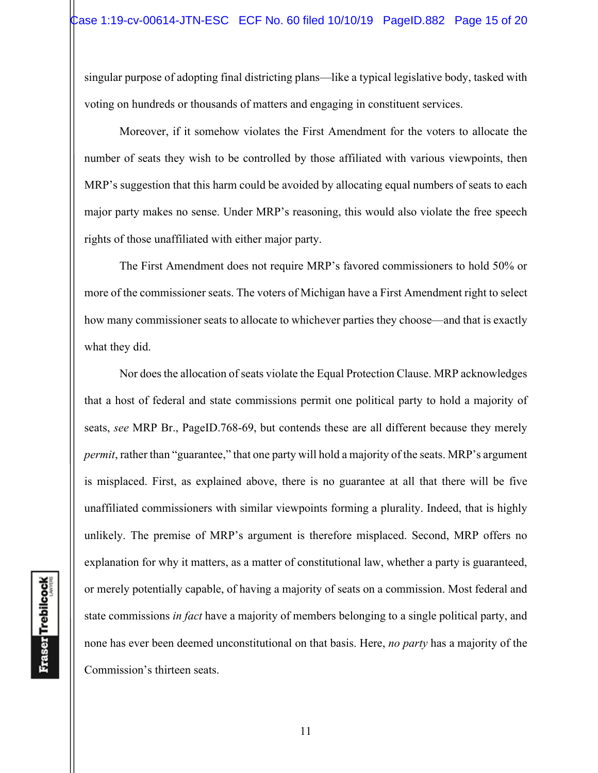singular purpose of adopting final districting plans—like a typical legislative body, tasked with voting on hundreds or thousands of matters and engaging in constituent services.

Moreover, if it somehow violates the First Amendment for the voters to allocate the number of seats they wish to be controlled by those affiliated with various viewpoints, then MRP's suggestion that this harm could be avoided by allocating equal numbers of seats to each major party makes no sense. Under MRP's reasoning, this would also violate the free speech rights of those unaffiliated with either major party.

The First Amendment does not require MRP's favored commissioners to hold 50% or more of the commissioner seats. The voters of Michigan have a First Amendment right to select how many commissioner seats to allocate to whichever parties they choose—and that is exactly what they did.

Nor does the allocation of seats violate the Equal Protection Clause. MRP acknowledges that a host of federal and state commissions permit one political party to hold a majority of seats, *see* MRP Br., PageID.768-69, but contends these are all different because they merely *permit*, rather than "guarantee," that one party will hold a majority of the seats. MRP's argument is misplaced. First, as explained above, there is no guarantee at all that there will be five unaffiliated commissioners with similar viewpoints forming a plurality. Indeed, that is highly unlikely. The premise of MRP's argument is therefore misplaced. Second, MRP offers no explanation for why it matters, as a matter of constitutional law, whether a party is guaranteed, or merely potentially capable, of having a majority of seats on a commission. Most federal and state commissions *in fact* have a majority of members belonging to a single political party, and none has ever been deemed unconstitutional on that basis. Here, *no party* has a majority of the Commission's thirteen seats.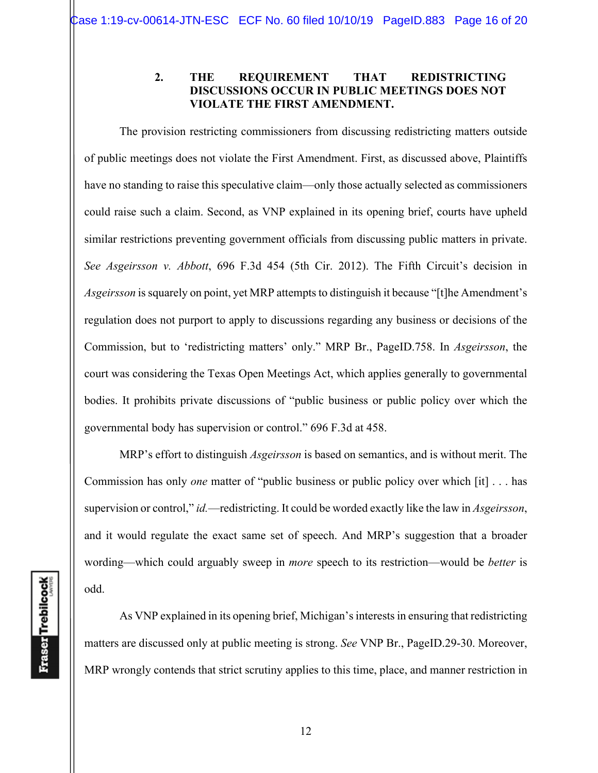#### **2. THE REQUIREMENT THAT REDISTRICTING DISCUSSIONS OCCUR IN PUBLIC MEETINGS DOES NOT VIOLATE THE FIRST AMENDMENT.**

The provision restricting commissioners from discussing redistricting matters outside of public meetings does not violate the First Amendment. First, as discussed above, Plaintiffs have no standing to raise this speculative claim—only those actually selected as commissioners could raise such a claim. Second, as VNP explained in its opening brief, courts have upheld similar restrictions preventing government officials from discussing public matters in private. *See Asgeirsson v. Abbott*, 696 F.3d 454 (5th Cir. 2012). The Fifth Circuit's decision in *Asgeirsson* is squarely on point, yet MRP attempts to distinguish it because "[t]he Amendment's regulation does not purport to apply to discussions regarding any business or decisions of the Commission, but to 'redistricting matters' only." MRP Br., PageID.758. In *Asgeirsson*, the court was considering the Texas Open Meetings Act, which applies generally to governmental bodies. It prohibits private discussions of "public business or public policy over which the governmental body has supervision or control." 696 F.3d at 458.

MRP's effort to distinguish *Asgeirsson* is based on semantics, and is without merit. The Commission has only *one* matter of "public business or public policy over which [it] . . . has supervision or control," *id.*—redistricting. It could be worded exactly like the law in *Asgeirsson*, and it would regulate the exact same set of speech. And MRP's suggestion that a broader wording—which could arguably sweep in *more* speech to its restriction—would be *better* is odd.

As VNP explained in its opening brief, Michigan's interests in ensuring that redistricting matters are discussed only at public meeting is strong. *See* VNP Br., PageID.29-30. Moreover, MRP wrongly contends that strict scrutiny applies to this time, place, and manner restriction in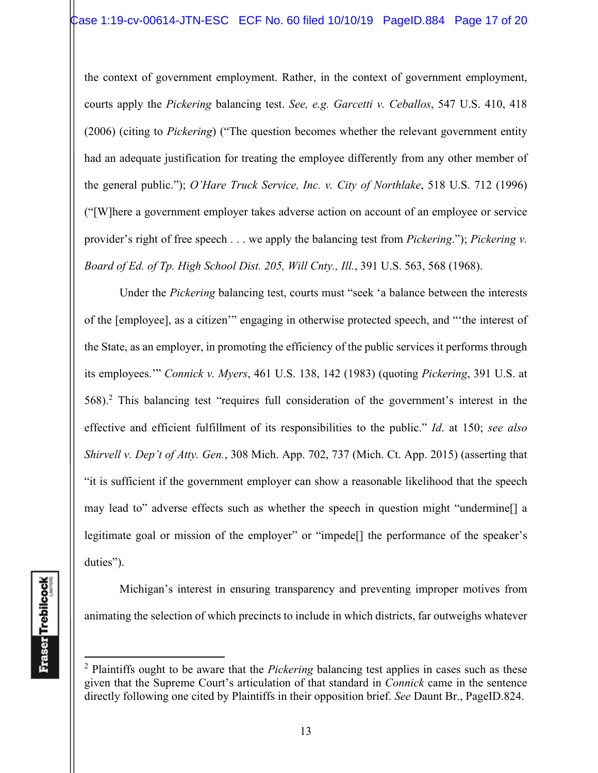the context of government employment. Rather, in the context of government employment, courts apply the *Pickering* balancing test. *See, e.g. Garcetti v. Ceballos*, 547 U.S. 410, 418 (2006) (citing to *Pickering*) ("The question becomes whether the relevant government entity had an adequate justification for treating the employee differently from any other member of the general public."); *O'Hare Truck Service, Inc. v. City of Northlake*, 518 U.S. 712 (1996) ("[W]here a government employer takes adverse action on account of an employee or service provider's right of free speech . . . we apply the balancing test from *Pickering*."); *Pickering v. Board of Ed. of Tp. High School Dist. 205, Will Cnty., Ill.*, 391 U.S. 563, 568 (1968).

Under the *Pickering* balancing test, courts must "seek 'a balance between the interests of the [employee], as a citizen'" engaging in otherwise protected speech, and "'the interest of the State, as an employer, in promoting the efficiency of the public services it performs through its employees.'" *Connick v. Myers*, 461 U.S. 138, 142 (1983) (quoting *Pickering*, 391 U.S. at 568).<sup>2</sup> This balancing test "requires full consideration of the government's interest in the effective and efficient fulfillment of its responsibilities to the public." *Id*. at 150; *see also Shirvell v. Dep't of Atty. Gen.*, 308 Mich. App. 702, 737 (Mich. Ct. App. 2015) (asserting that "it is sufficient if the government employer can show a reasonable likelihood that the speech may lead to" adverse effects such as whether the speech in question might "undermine[] a legitimate goal or mission of the employer" or "impede[] the performance of the speaker's duties").

Michigan's interest in ensuring transparency and preventing improper motives from animating the selection of which precincts to include in which districts, far outweighs whatever

<sup>2</sup> Plaintiffs ought to be aware that the *Pickering* balancing test applies in cases such as these given that the Supreme Court's articulation of that standard in *Connick* came in the sentence directly following one cited by Plaintiffs in their opposition brief. *See* Daunt Br., PageID.824.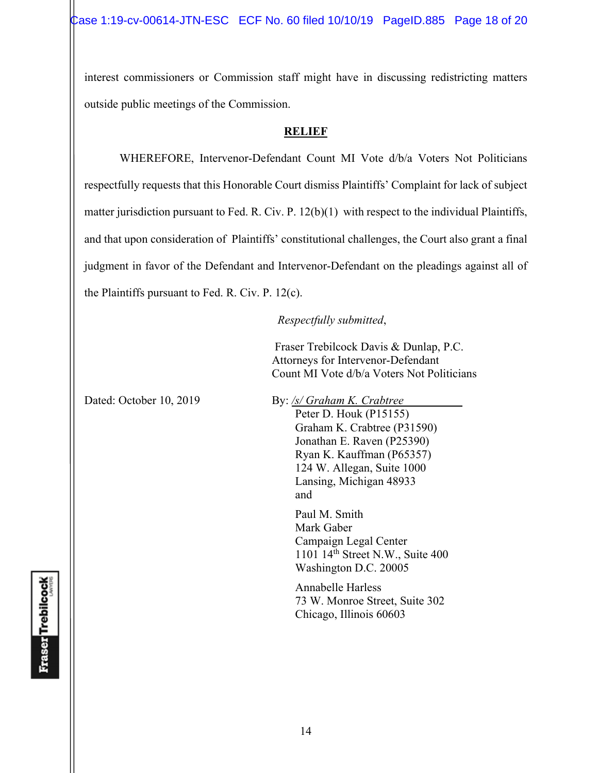interest commissioners or Commission staff might have in discussing redistricting matters outside public meetings of the Commission.

#### **RELIEF**

 WHEREFORE, Intervenor-Defendant Count MI Vote d/b/a Voters Not Politicians respectfully requests that this Honorable Court dismiss Plaintiffs' Complaint for lack of subject matter jurisdiction pursuant to Fed. R. Civ. P. 12(b)(1) with respect to the individual Plaintiffs, and that upon consideration of Plaintiffs' constitutional challenges, the Court also grant a final judgment in favor of the Defendant and Intervenor-Defendant on the pleadings against all of the Plaintiffs pursuant to Fed. R. Civ. P. 12(c).

### *Respectfully submitted*,

 Fraser Trebilcock Davis & Dunlap, P.C. Attorneys for Intervenor-Defendant Count MI Vote d/b/a Voters Not Politicians

Dated: October 10, 2019 By: */s/ Graham K. Crabtree* Peter D. Houk (P15155) Graham K. Crabtree (P31590) Jonathan E. Raven (P25390) Ryan K. Kauffman (P65357) 124 W. Allegan, Suite 1000 Lansing, Michigan 48933 and and state of the state of the state of the state of the state of the state of the state of the state of the state of the state of the state of the state of the state of the state of the state of the state of the state

> Paul M. Smith Mark Gaber Campaign Legal Center 1101 14th Street N.W., Suite 400 Washington D.C. 20005

Annabelle Harless 73 W. Monroe Street, Suite 302 Chicago, Illinois 60603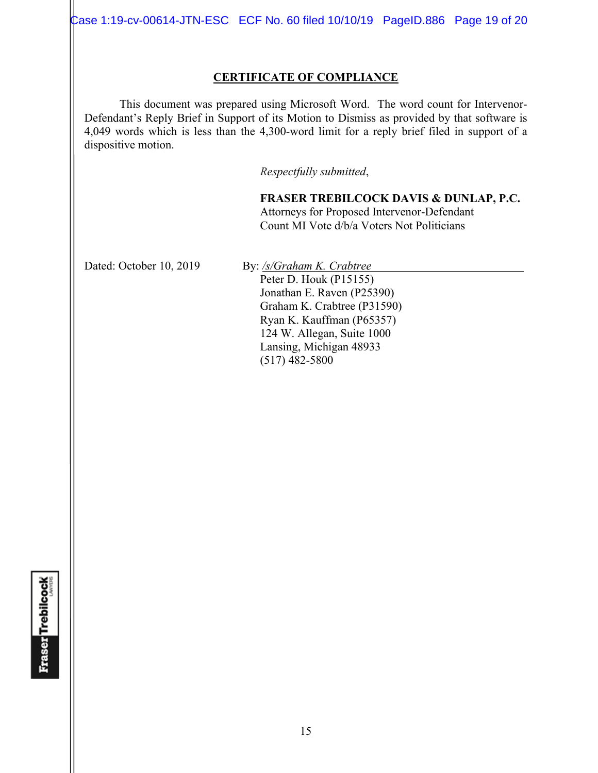Case 1:19-cv-00614-JTN-ESC ECF No. 60 filed 10/10/19 PageID.886 Page 19 of 20

#### **CERTIFICATE OF COMPLIANCE**

 This document was prepared using Microsoft Word. The word count for Intervenor-Defendant's Reply Brief in Support of its Motion to Dismiss as provided by that software is 4,049 words which is less than the 4,300-word limit for a reply brief filed in support of a dispositive motion.

*Respectfully submitted*,

**FRASER TREBILCOCK DAVIS & DUNLAP, P.C.** Attorneys for Proposed Intervenor-Defendant Count MI Vote d/b/a Voters Not Politicians

Dated: October 10, 2019 By: /s/Graham K. Crabtree

Peter D. Houk (P15155) Jonathan E. Raven (P25390) Graham K. Crabtree (P31590) Ryan K. Kauffman (P65357) 124 W. Allegan, Suite 1000 Lansing, Michigan 48933 (517) 482-5800

**Fraser Trebilcock**